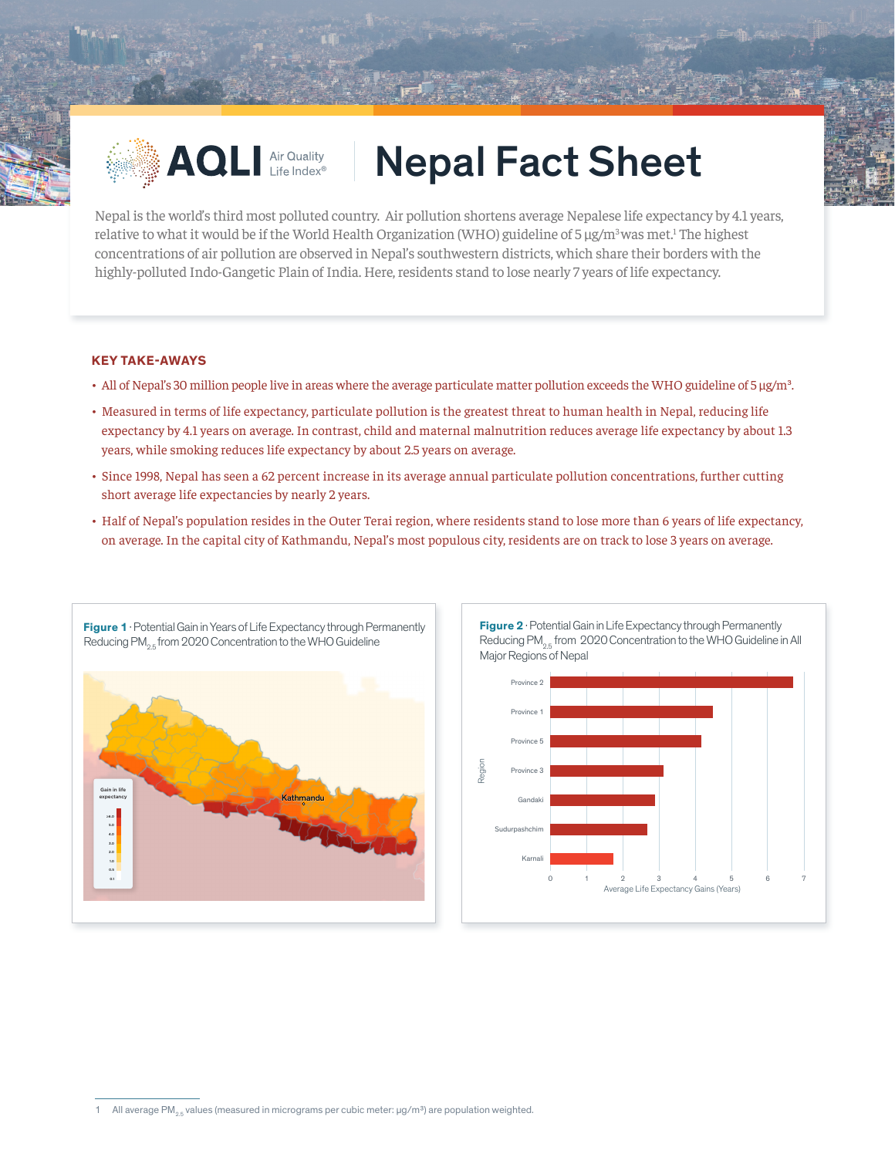

## AQLI Air Quality Nepal Fact Sheet

Nepal is the world's third most polluted country. Air pollution shortens average Nepalese life expectancy by 4.1 years, relative to what it would be if the World Health Organization (WHO) guideline of 5  $\mu g/m^3$ was met.<sup>1</sup> The highest concentrations of air pollution are observed in Nepal's southwestern districts, which share their borders with the highly-polluted Indo-Gangetic Plain of India. Here, residents stand to lose nearly 7 years of life expectancy.

## **KEY TAKE-AWAYS**

- All of Nepal's 30 million people live in areas where the average particulate matter pollution exceeds the WHO guideline of 5 μg/m<sup>3</sup>.
- Measured in terms of life expectancy, particulate pollution is the greatest threat to human health in Nepal, reducing life expectancy by 4.1 years on average. In contrast, child and maternal malnutrition reduces average life expectancy by about 1.3 years, while smoking reduces life expectancy by about 2.5 years on average.
- Since 1998, Nepal has seen a 62 percent increase in its average annual particulate pollution concentrations, further cutting short average life expectancies by nearly 2 years.
- Half of Nepal's population resides in the Outer Terai region, where residents stand to lose more than 6 years of life expectancy, on average. In the capital city of Kathmandu, Nepal's most populous city, residents are on track to lose 3 years on average.





**Figure 2** · Potential Gain in Life Expectancy through Permanently Reducing PM<sub>25</sub> from 2020 Concentration to the WHO Guideline in All

All average PM<sub>2.5</sub> values (measured in micrograms per cubic meter:  $\mu$ g/m<sup>3</sup>) are population weighted.